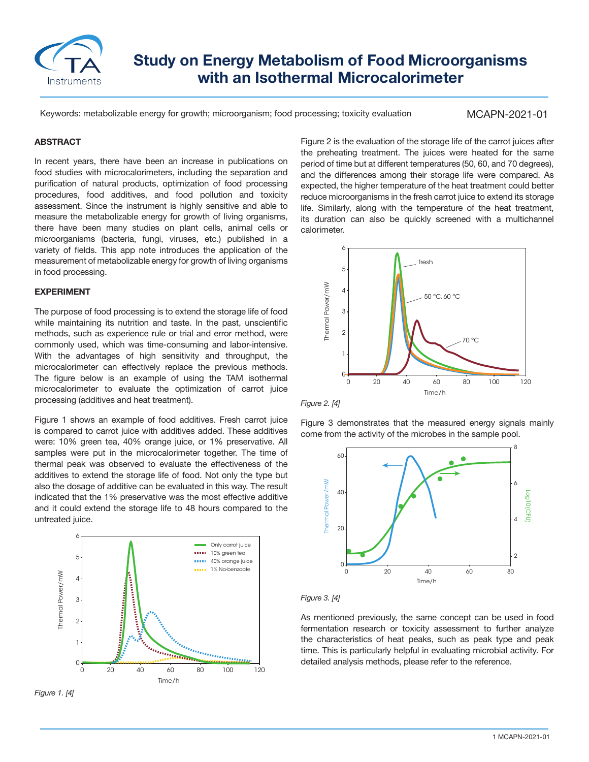

# **Study on Energy Metabolism of Food Microorganisms with an Isothermal Microcalorimeter**

Keywords: metabolizable energy for growth; microorganism; food processing; toxicity evaluation

# MCAPN-2021-01

### **ABSTRACT**

In recent years, there have been an increase in publications on food studies with microcalorimeters, including the separation and purification of natural products, optimization of food processing procedures, food additives, and food pollution and toxicity assessment. Since the instrument is highly sensitive and able to measure the metabolizable energy for growth of living organisms, there have been many studies on plant cells, animal cells or microorganisms (bacteria, fungi, viruses, etc.) published in a variety of fields. This app note introduces the application of the measurement of metabolizable energy for growth of living organisms in food processing.

#### **EXPERIMENT**

The purpose of food processing is to extend the storage life of food while maintaining its nutrition and taste. In the past, unscientific methods, such as experience rule or trial and error method, were commonly used, which was time-consuming and labor-intensive. With the advantages of high sensitivity and throughput, the microcalorimeter can effectively replace the previous methods. The figure below is an example of using the TAM isothermal microcalorimeter to evaluate the optimization of carrot juice processing (additives and heat treatment).

Figure 1 shows an example of food additives. Fresh carrot juice is compared to carrot juice with additives added. These additives were: 10% green tea, 40% orange juice, or 1% preservative. All samples were put in the microcalorimeter together. The time of thermal peak was observed to evaluate the effectiveness of the additives to extend the storage life of food. Not only the type but also the dosage of additive can be evaluated in this way. The result indicated that the 1% preservative was the most effective additive and it could extend the storage life to 48 hours compared to the untreated juice.



*Figure 1. [4]*

Figure 2 is the evaluation of the storage life of the carrot juices after the preheating treatment. The juices were heated for the same period of time but at different temperatures (50, 60, and 70 degrees), and the differences among their storage life were compared. As expected, the higher temperature of the heat treatment could better reduce microorganisms in the fresh carrot juice to extend its storage life. Similarly, along with the temperature of the heat treatment, its duration can also be quickly screened with a multichannel calorimeter.



*Figure 2. [4]*

Figure 3 demonstrates that the measured energy signals mainly come from the activity of the microbes in the sample pool.



*Figure 3. [4]*

As mentioned previously, the same concept can be used in food fermentation research or toxicity assessment to further analyze the characteristics of heat peaks, such as peak type and peak time. This is particularly helpful in evaluating microbial activity. For detailed analysis methods, please refer to the reference.